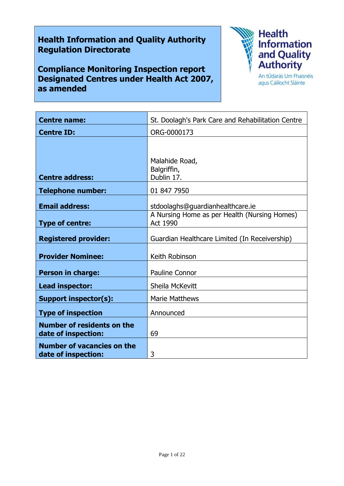# **Health Information and Quality Authority Regulation Directorate**

**Compliance Monitoring Inspection report Designated Centres under Health Act 2007, as amended**



agus Cáilíocht Sláinte

| <b>Centre name:</b>                                      | St. Doolagh's Park Care and Rehabilitation Centre                                            |
|----------------------------------------------------------|----------------------------------------------------------------------------------------------|
| <b>Centre ID:</b>                                        | ORG-0000173                                                                                  |
|                                                          | Malahide Road,                                                                               |
| <b>Centre address:</b>                                   | Balgriffin,<br>Dublin 17.                                                                    |
| <b>Telephone number:</b>                                 | 01 847 7950                                                                                  |
| <b>Email address:</b><br><b>Type of centre:</b>          | stdoolaghs@guardianhealthcare.ie<br>A Nursing Home as per Health (Nursing Homes)<br>Act 1990 |
| <b>Registered provider:</b>                              | Guardian Healthcare Limited (In Receivership)                                                |
| <b>Provider Nominee:</b>                                 | Keith Robinson                                                                               |
| Person in charge:                                        | Pauline Connor                                                                               |
| Lead inspector:                                          | Sheila McKevitt                                                                              |
| <b>Support inspector(s):</b>                             | <b>Marie Matthews</b>                                                                        |
| <b>Type of inspection</b>                                | Announced                                                                                    |
| <b>Number of residents on the</b><br>date of inspection: | 69                                                                                           |
| <b>Number of vacancies on the</b><br>date of inspection: | 3                                                                                            |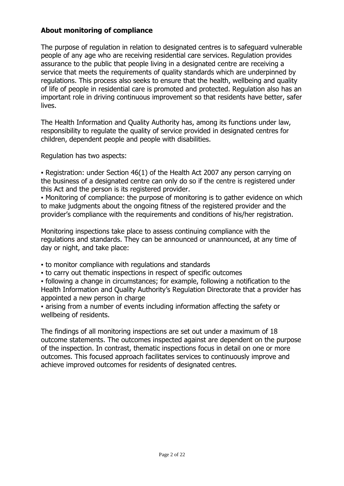# **About monitoring of compliance**

The purpose of regulation in relation to designated centres is to safeguard vulnerable people of any age who are receiving residential care services. Regulation provides assurance to the public that people living in a designated centre are receiving a service that meets the requirements of quality standards which are underpinned by regulations. This process also seeks to ensure that the health, wellbeing and quality of life of people in residential care is promoted and protected. Regulation also has an important role in driving continuous improvement so that residents have better, safer lives.

The Health Information and Quality Authority has, among its functions under law, responsibility to regulate the quality of service provided in designated centres for children, dependent people and people with disabilities.

Regulation has two aspects:

• Registration: under Section 46(1) of the Health Act 2007 any person carrying on the business of a designated centre can only do so if the centre is registered under this Act and the person is its registered provider.

▪ Monitoring of compliance: the purpose of monitoring is to gather evidence on which to make judgments about the ongoing fitness of the registered provider and the provider's compliance with the requirements and conditions of his/her registration.

Monitoring inspections take place to assess continuing compliance with the regulations and standards. They can be announced or unannounced, at any time of day or night, and take place:

- to monitor compliance with regulations and standards
- to carry out thematic inspections in respect of specific outcomes

▪ following a change in circumstances; for example, following a notification to the Health Information and Quality Authority's Regulation Directorate that a provider has appointed a new person in charge

▪ arising from a number of events including information affecting the safety or wellbeing of residents.

The findings of all monitoring inspections are set out under a maximum of 18 outcome statements. The outcomes inspected against are dependent on the purpose of the inspection. In contrast, thematic inspections focus in detail on one or more outcomes. This focused approach facilitates services to continuously improve and achieve improved outcomes for residents of designated centres.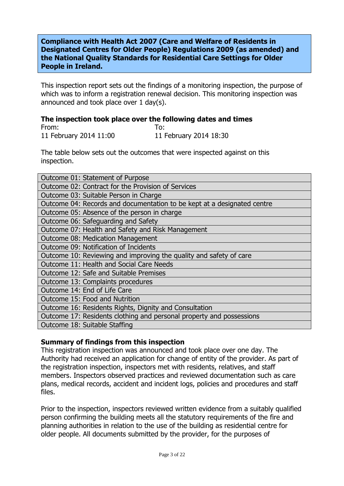## **Compliance with Health Act 2007 (Care and Welfare of Residents in Designated Centres for Older People) Regulations 2009 (as amended) and the National Quality Standards for Residential Care Settings for Older People in Ireland.**

This inspection report sets out the findings of a monitoring inspection, the purpose of which was to inform a registration renewal decision. This monitoring inspection was announced and took place over 1 day(s).

#### **The inspection took place over the following dates and times** From: To: 11 February 2014 11:00 11 February 2014 18:30

The table below sets out the outcomes that were inspected against on this inspection.

| Outcome 01: Statement of Purpose                                        |  |
|-------------------------------------------------------------------------|--|
| Outcome 02: Contract for the Provision of Services                      |  |
| Outcome 03: Suitable Person in Charge                                   |  |
| Outcome 04: Records and documentation to be kept at a designated centre |  |
| Outcome 05: Absence of the person in charge                             |  |
| Outcome 06: Safeguarding and Safety                                     |  |
| Outcome 07: Health and Safety and Risk Management                       |  |
| Outcome 08: Medication Management                                       |  |
| Outcome 09: Notification of Incidents                                   |  |
| Outcome 10: Reviewing and improving the quality and safety of care      |  |
| Outcome 11: Health and Social Care Needs                                |  |
| Outcome 12: Safe and Suitable Premises                                  |  |
| Outcome 13: Complaints procedures                                       |  |
| Outcome 14: End of Life Care                                            |  |
| Outcome 15: Food and Nutrition                                          |  |
| Outcome 16: Residents Rights, Dignity and Consultation                  |  |
| Outcome 17: Residents clothing and personal property and possessions    |  |
| Outcome 18: Suitable Staffing                                           |  |

## **Summary of findings from this inspection**

This registration inspection was announced and took place over one day. The Authority had received an application for change of entity of the provider. As part of the registration inspection, inspectors met with residents, relatives, and staff members. Inspectors observed practices and reviewed documentation such as care plans, medical records, accident and incident logs, policies and procedures and staff files.

Prior to the inspection, inspectors reviewed written evidence from a suitably qualified person confirming the building meets all the statutory requirements of the fire and planning authorities in relation to the use of the building as residential centre for older people. All documents submitted by the provider, for the purposes of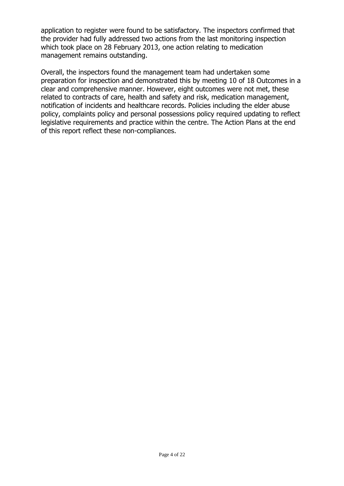application to register were found to be satisfactory. The inspectors confirmed that the provider had fully addressed two actions from the last monitoring inspection which took place on 28 February 2013, one action relating to medication management remains outstanding.

Overall, the inspectors found the management team had undertaken some preparation for inspection and demonstrated this by meeting 10 of 18 Outcomes in a clear and comprehensive manner. However, eight outcomes were not met, these related to contracts of care, health and safety and risk, medication management, notification of incidents and healthcare records. Policies including the elder abuse policy, complaints policy and personal possessions policy required updating to reflect legislative requirements and practice within the centre. The Action Plans at the end of this report reflect these non-compliances.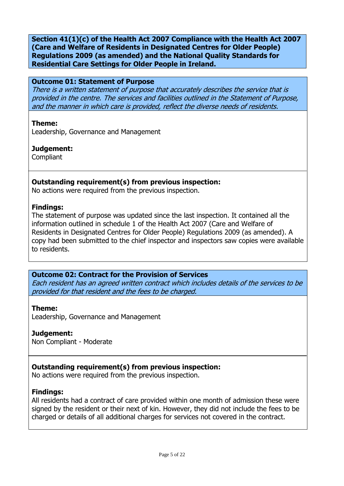**Section 41(1)(c) of the Health Act 2007 Compliance with the Health Act 2007 (Care and Welfare of Residents in Designated Centres for Older People) Regulations 2009 (as amended) and the National Quality Standards for Residential Care Settings for Older People in Ireland.**

#### **Outcome 01: Statement of Purpose**

There is a written statement of purpose that accurately describes the service that is provided in the centre. The services and facilities outlined in the Statement of Purpose, and the manner in which care is provided, reflect the diverse needs of residents.

#### **Theme:**

Leadership, Governance and Management

#### **Judgement:**

Compliant

## **Outstanding requirement(s) from previous inspection:**

No actions were required from the previous inspection.

#### **Findings:**

The statement of purpose was updated since the last inspection. It contained all the information outlined in schedule 1 of the Health Act 2007 (Care and Welfare of Residents in Designated Centres for Older People) Regulations 2009 (as amended). A copy had been submitted to the chief inspector and inspectors saw copies were available to residents.

## **Outcome 02: Contract for the Provision of Services**

Each resident has an agreed written contract which includes details of the services to be provided for that resident and the fees to be charged.

#### **Theme:**

Leadership, Governance and Management

## **Judgement:**

Non Compliant - Moderate

## **Outstanding requirement(s) from previous inspection:**

No actions were required from the previous inspection.

## **Findings:**

All residents had a contract of care provided within one month of admission these were signed by the resident or their next of kin. However, they did not include the fees to be charged or details of all additional charges for services not covered in the contract.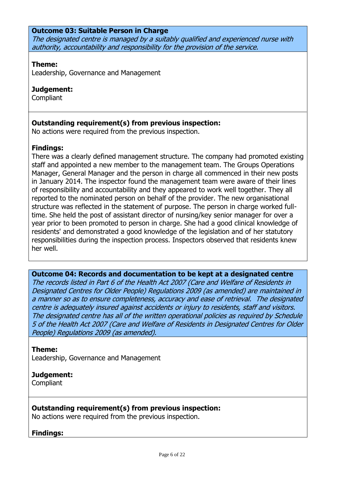#### **Outcome 03: Suitable Person in Charge**

The designated centre is managed by a suitably qualified and experienced nurse with authority, accountability and responsibility for the provision of the service.

#### **Theme:**

Leadership, Governance and Management

## **Judgement:**

**Compliant** 

## **Outstanding requirement(s) from previous inspection:**

No actions were required from the previous inspection.

## **Findings:**

There was a clearly defined management structure. The company had promoted existing staff and appointed a new member to the management team. The Groups Operations Manager, General Manager and the person in charge all commenced in their new posts in January 2014. The inspector found the management team were aware of their lines of responsibility and accountability and they appeared to work well together. They all reported to the nominated person on behalf of the provider. The new organisational structure was reflected in the statement of purpose. The person in charge worked fulltime. She held the post of assistant director of nursing/key senior manager for over a year prior to been promoted to person in charge. She had a good clinical knowledge of residents' and demonstrated a good knowledge of the legislation and of her statutory responsibilities during the inspection process. Inspectors observed that residents knew her well.

# **Outcome 04: Records and documentation to be kept at a designated centre**

The records listed in Part 6 of the Health Act 2007 (Care and Welfare of Residents in Designated Centres for Older People) Regulations 2009 (as amended) are maintained in a manner so as to ensure completeness, accuracy and ease of retrieval. The designated centre is adequately insured against accidents or injury to residents, staff and visitors. The designated centre has all of the written operational policies as required by Schedule 5 of the Health Act 2007 (Care and Welfare of Residents in Designated Centres for Older People) Regulations 2009 (as amended).

## **Theme:**

Leadership, Governance and Management

## **Judgement:**

Compliant

## **Outstanding requirement(s) from previous inspection:**

No actions were required from the previous inspection.

## **Findings:**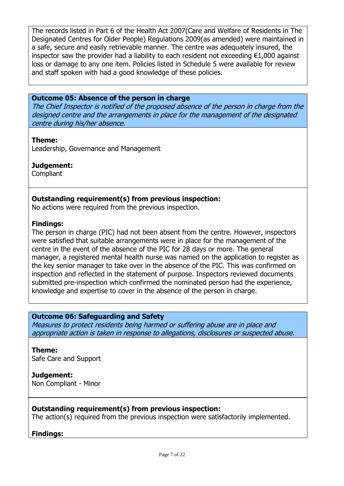The records listed in Part 6 of the Health Act 2007(Care and Welfare of Residents in The Designated Centres for Older People) Regulations 2009(as amended) were maintained in a safe, secure and easily retrievable manner. The centre was adequately insured, the inspector saw the provider had a liability to each resident not exceeding  $E1,000$  against loss or damage to any one item. Policies listed in Schedule 5 were available for review and staff spoken with had a good knowledge of these policies.

#### **Outcome 05: Absence of the person in charge**

The Chief Inspector is notified of the proposed absence of the person in charge from the designed centre and the arrangements in place for the management of the designated centre during his/her absence.

#### **Theme:**

Leadership, Governance and Management

## **Judgement:**

Compliant

## **Outstanding requirement(s) from previous inspection:**

No actions were required from the previous inspection.

#### **Findings:**

The person in charge (PIC) had not been absent from the centre. However, inspectors were satisfied that suitable arrangements were in place for the management of the centre in the event of the absence of the PIC for 28 days or more. The general manager, a registered mental health nurse was named on the application to register as the key senior manager to take over in the absence of the PIC. This was confirmed on inspection and reflected in the statement of purpose. Inspectors reviewed documents submitted pre-inspection which confirmed the nominated person had the experience, knowledge and expertise to cover in the absence of the person in charge.

#### **Outcome 06: Safeguarding and Safety**

Measures to protect residents being harmed or suffering abuse are in place and appropriate action is taken in response to allegations, disclosures or suspected abuse.

**Theme:**  Safe Care and Support

**Judgement:** Non Compliant - Minor

## **Outstanding requirement(s) from previous inspection:**

The action(s) required from the previous inspection were satisfactorily implemented.

#### **Findings:**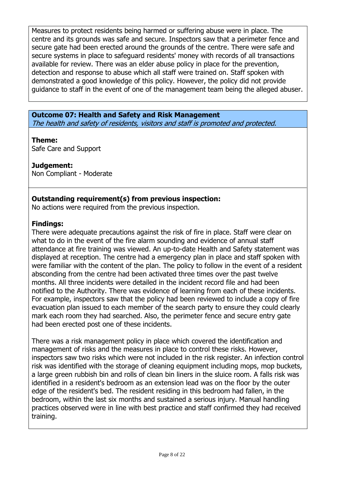Measures to protect residents being harmed or suffering abuse were in place. The centre and its grounds was safe and secure. Inspectors saw that a perimeter fence and secure gate had been erected around the grounds of the centre. There were safe and secure systems in place to safeguard residents' money with records of all transactions available for review. There was an elder abuse policy in place for the prevention, detection and response to abuse which all staff were trained on. Staff spoken with demonstrated a good knowledge of this policy. However, the policy did not provide guidance to staff in the event of one of the management team being the alleged abuser.

# **Outcome 07: Health and Safety and Risk Management**

The health and safety of residents, visitors and staff is promoted and protected.

# **Theme:**

Safe Care and Support

# **Judgement:**

Non Compliant - Moderate

# **Outstanding requirement(s) from previous inspection:**

No actions were required from the previous inspection.

# **Findings:**

There were adequate precautions against the risk of fire in place. Staff were clear on what to do in the event of the fire alarm sounding and evidence of annual staff attendance at fire training was viewed. An up-to-date Health and Safety statement was displayed at reception. The centre had a emergency plan in place and staff spoken with were familiar with the content of the plan. The policy to follow in the event of a resident absconding from the centre had been activated three times over the past twelve months. All three incidents were detailed in the incident record file and had been notified to the Authority. There was evidence of learning from each of these incidents. For example, inspectors saw that the policy had been reviewed to include a copy of fire evacuation plan issued to each member of the search party to ensure they could clearly mark each room they had searched. Also, the perimeter fence and secure entry gate had been erected post one of these incidents.

There was a risk management policy in place which covered the identification and management of risks and the measures in place to control these risks. However, inspectors saw two risks which were not included in the risk register. An infection control risk was identified with the storage of cleaning equipment including mops, mop buckets, a large green rubbish bin and rolls of clean bin liners in the sluice room. A falls risk was identified in a resident's bedroom as an extension lead was on the floor by the outer edge of the resident's bed. The resident residing in this bedroom had fallen, in the bedroom, within the last six months and sustained a serious injury. Manual handling practices observed were in line with best practice and staff confirmed they had received training.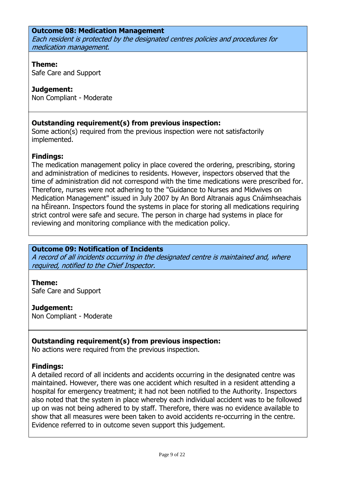## **Outcome 08: Medication Management**

Each resident is protected by the designated centres policies and procedures for medication management.

## **Theme:**

Safe Care and Support

# **Judgement:**

Non Compliant - Moderate

# **Outstanding requirement(s) from previous inspection:**

Some action(s) required from the previous inspection were not satisfactorily implemented.

# **Findings:**

The medication management policy in place covered the ordering, prescribing, storing and administration of medicines to residents. However, inspectors observed that the time of administration did not correspond with the time medications were prescribed for. Therefore, nurses were not adhering to the "Guidance to Nurses and Midwives on Medication Management" issued in July 2007 by An Bord Altranais agus Cnáimhseachais na hÉireann. Inspectors found the systems in place for storing all medications requiring strict control were safe and secure. The person in charge had systems in place for reviewing and monitoring compliance with the medication policy.

## **Outcome 09: Notification of Incidents**

A record of all incidents occurring in the designated centre is maintained and, where required, notified to the Chief Inspector.

## **Theme:**

Safe Care and Support

## **Judgement:**

Non Compliant - Moderate

## **Outstanding requirement(s) from previous inspection:**

No actions were required from the previous inspection.

## **Findings:**

A detailed record of all incidents and accidents occurring in the designated centre was maintained. However, there was one accident which resulted in a resident attending a hospital for emergency treatment; it had not been notified to the Authority. Inspectors also noted that the system in place whereby each individual accident was to be followed up on was not being adhered to by staff. Therefore, there was no evidence available to show that all measures were been taken to avoid accidents re-occurring in the centre. Evidence referred to in outcome seven support this judgement.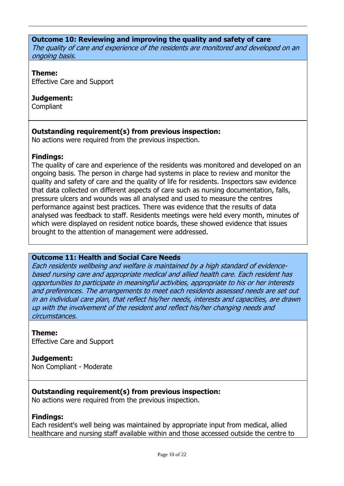#### **Outcome 10: Reviewing and improving the quality and safety of care**

The quality of care and experience of the residents are monitored and developed on an ongoing basis.

#### **Theme:**

Effective Care and Support

#### **Judgement:**

**Compliant** 

## **Outstanding requirement(s) from previous inspection:**

No actions were required from the previous inspection.

## **Findings:**

The quality of care and experience of the residents was monitored and developed on an ongoing basis. The person in charge had systems in place to review and monitor the quality and safety of care and the quality of life for residents. Inspectors saw evidence that data collected on different aspects of care such as nursing documentation, falls, pressure ulcers and wounds was all analysed and used to measure the centres performance against best practices. There was evidence that the results of data analysed was feedback to staff. Residents meetings were held every month, minutes of which were displayed on resident notice boards, these showed evidence that issues brought to the attention of management were addressed.

## **Outcome 11: Health and Social Care Needs**

Each residents wellbeing and welfare is maintained by a high standard of evidencebased nursing care and appropriate medical and allied health care. Each resident has opportunities to participate in meaningful activities, appropriate to his or her interests and preferences. The arrangements to meet each residents assessed needs are set out in an individual care plan, that reflect his/her needs, interests and capacities, are drawn up with the involvement of the resident and reflect his/her changing needs and circumstances.

## **Theme:**

Effective Care and Support

## **Judgement:**

Non Compliant - Moderate

## **Outstanding requirement(s) from previous inspection:**

No actions were required from the previous inspection.

#### **Findings:**

Each resident's well being was maintained by appropriate input from medical, allied healthcare and nursing staff available within and those accessed outside the centre to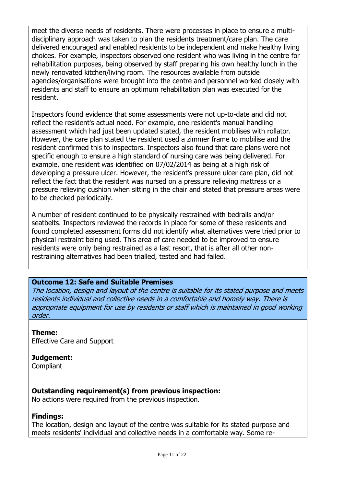meet the diverse needs of residents. There were processes in place to ensure a multidisciplinary approach was taken to plan the residents treatment/care plan. The care delivered encouraged and enabled residents to be independent and make healthy living choices. For example, inspectors observed one resident who was living in the centre for rehabilitation purposes, being observed by staff preparing his own healthy lunch in the newly renovated kitchen/living room. The resources available from outside agencies/organisations were brought into the centre and personnel worked closely with residents and staff to ensure an optimum rehabilitation plan was executed for the resident.

Inspectors found evidence that some assessments were not up-to-date and did not reflect the resident's actual need. For example, one resident's manual handling assessment which had just been updated stated, the resident mobilises with rollator. However, the care plan stated the resident used a zimmer frame to mobilise and the resident confirmed this to inspectors. Inspectors also found that care plans were not specific enough to ensure a high standard of nursing care was being delivered. For example, one resident was identified on 07/02/2014 as being at a high risk of developing a pressure ulcer. However, the resident's pressure ulcer care plan, did not reflect the fact that the resident was nursed on a pressure relieving mattress or a pressure relieving cushion when sitting in the chair and stated that pressure areas were to be checked periodically.

A number of resident continued to be physically restrained with bedrails and/or seatbelts. Inspectors reviewed the records in place for some of these residents and found completed assessment forms did not identify what alternatives were tried prior to physical restraint being used. This area of care needed to be improved to ensure residents were only being restrained as a last resort, that is after all other nonrestraining alternatives had been trialled, tested and had failed.

## **Outcome 12: Safe and Suitable Premises**

The location, design and layout of the centre is suitable for its stated purpose and meets residents individual and collective needs in a comfortable and homely way. There is appropriate equipment for use by residents or staff which is maintained in good working order.

## **Theme:**

Effective Care and Support

## **Judgement:**

**Compliant** 

# **Outstanding requirement(s) from previous inspection:**

No actions were required from the previous inspection.

## **Findings:**

The location, design and layout of the centre was suitable for its stated purpose and meets residents' individual and collective needs in a comfortable way. Some re-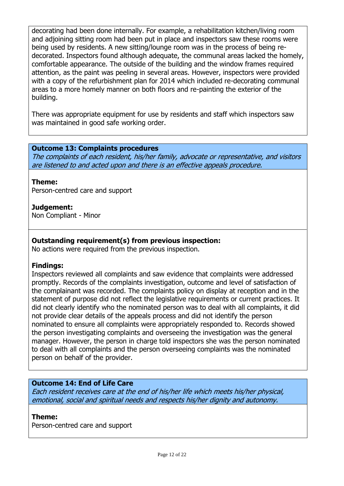decorating had been done internally. For example, a rehabilitation kitchen/living room and adjoining sitting room had been put in place and inspectors saw these rooms were being used by residents. A new sitting/lounge room was in the process of being redecorated. Inspectors found although adequate, the communal areas lacked the homely, comfortable appearance. The outside of the building and the window frames required attention, as the paint was peeling in several areas. However, inspectors were provided with a copy of the refurbishment plan for 2014 which included re-decorating communal areas to a more homely manner on both floors and re-painting the exterior of the building.

There was appropriate equipment for use by residents and staff which inspectors saw was maintained in good safe working order.

## **Outcome 13: Complaints procedures**

The complaints of each resident, his/her family, advocate or representative, and visitors are listened to and acted upon and there is an effective appeals procedure.

## **Theme:**

Person-centred care and support

## **Judgement:**

Non Compliant - Minor

# **Outstanding requirement(s) from previous inspection:**

No actions were required from the previous inspection.

## **Findings:**

Inspectors reviewed all complaints and saw evidence that complaints were addressed promptly. Records of the complaints investigation, outcome and level of satisfaction of the complainant was recorded. The complaints policy on display at reception and in the statement of purpose did not reflect the legislative requirements or current practices. It did not clearly identify who the nominated person was to deal with all complaints, it did not provide clear details of the appeals process and did not identify the person nominated to ensure all complaints were appropriately responded to. Records showed the person investigating complaints and overseeing the investigation was the general manager. However, the person in charge told inspectors she was the person nominated to deal with all complaints and the person overseeing complaints was the nominated person on behalf of the provider.

# **Outcome 14: End of Life Care**

Each resident receives care at the end of his/her life which meets his/her physical, emotional, social and spiritual needs and respects his/her dignity and autonomy.

#### **Theme:**

Person-centred care and support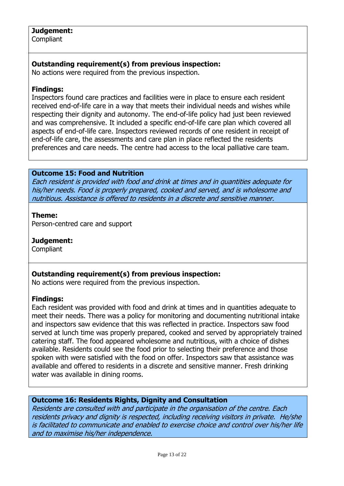## **Judgement:**

**Compliant** 

# **Outstanding requirement(s) from previous inspection:**

No actions were required from the previous inspection.

## **Findings:**

Inspectors found care practices and facilities were in place to ensure each resident received end-of-life care in a way that meets their individual needs and wishes while respecting their dignity and autonomy. The end-of-life policy had just been reviewed and was comprehensive. It included a specific end-of-life care plan which covered all aspects of end-of-life care. Inspectors reviewed records of one resident in receipt of end-of-life care, the assessments and care plan in place reflected the residents preferences and care needs. The centre had access to the local palliative care team.

## **Outcome 15: Food and Nutrition**

Each resident is provided with food and drink at times and in quantities adequate for his/her needs. Food is properly prepared, cooked and served, and is wholesome and nutritious. Assistance is offered to residents in a discrete and sensitive manner.

## **Theme:**

Person-centred care and support

# **Judgement:**

**Compliant** 

# **Outstanding requirement(s) from previous inspection:**

No actions were required from the previous inspection.

## **Findings:**

Each resident was provided with food and drink at times and in quantities adequate to meet their needs. There was a policy for monitoring and documenting nutritional intake and inspectors saw evidence that this was reflected in practice. Inspectors saw food served at lunch time was properly prepared, cooked and served by appropriately trained catering staff. The food appeared wholesome and nutritious, with a choice of dishes available. Residents could see the food prior to selecting their preference and those spoken with were satisfied with the food on offer. Inspectors saw that assistance was available and offered to residents in a discrete and sensitive manner. Fresh drinking water was available in dining rooms.

## **Outcome 16: Residents Rights, Dignity and Consultation**

Residents are consulted with and participate in the organisation of the centre. Each residents privacy and dignity is respected, including receiving visitors in private. He/she is facilitated to communicate and enabled to exercise choice and control over his/her life and to maximise his/her independence.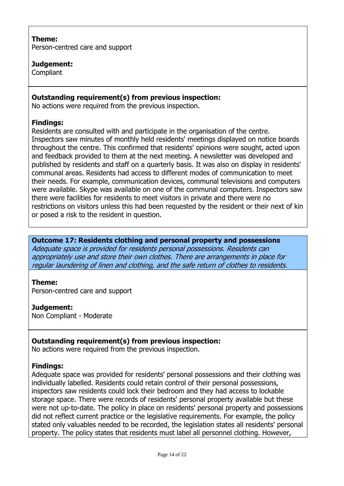## **Theme:**

Person-centred care and support

# **Judgement:**

Compliant

# **Outstanding requirement(s) from previous inspection:**

No actions were required from the previous inspection.

## **Findings:**

Residents are consulted with and participate in the organisation of the centre. Inspectors saw minutes of monthly held residents' meetings displayed on notice boards throughout the centre. This confirmed that residents' opinions were sought, acted upon and feedback provided to them at the next meeting. A newsletter was developed and published by residents and staff on a quarterly basis. It was also on display in residents' communal areas. Residents had access to different modes of communication to meet their needs. For example, communication devices, communal televisions and computers were available. Skype was available on one of the communal computers. Inspectors saw there were facilities for residents to meet visitors in private and there were no restrictions on visitors unless this had been requested by the resident or their next of kin or posed a risk to the resident in question.

**Outcome 17: Residents clothing and personal property and possessions** Adequate space is provided for residents personal possessions. Residents can appropriately use and store their own clothes. There are arrangements in place for regular laundering of linen and clothing, and the safe return of clothes to residents.

## **Theme:**

Person-centred care and support

## **Judgement:**

Non Compliant - Moderate

## **Outstanding requirement(s) from previous inspection:**

No actions were required from the previous inspection.

## **Findings:**

Adequate space was provided for residents' personal possessions and their clothing was individually labelled. Residents could retain control of their personal possessions, inspectors saw residents could lock their bedroom and they had access to lockable storage space. There were records of residents' personal property available but these were not up-to-date. The policy in place on residents' personal property and possessions did not reflect current practice or the legislative requirements. For example, the policy stated only valuables needed to be recorded, the legislation states all residents' personal property. The policy states that residents must label all personnel clothing. However,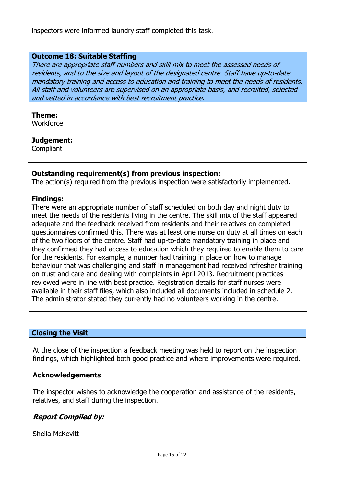#### **Outcome 18: Suitable Staffing**

There are appropriate staff numbers and skill mix to meet the assessed needs of residents, and to the size and layout of the designated centre. Staff have up-to-date mandatory training and access to education and training to meet the needs of residents. All staff and volunteers are supervised on an appropriate basis, and recruited, selected and vetted in accordance with best recruitment practice.

#### **Theme:**

**Workforce** 

#### **Judgement:**

**Compliant** 

## **Outstanding requirement(s) from previous inspection:**

The action(s) required from the previous inspection were satisfactorily implemented.

#### **Findings:**

There were an appropriate number of staff scheduled on both day and night duty to meet the needs of the residents living in the centre. The skill mix of the staff appeared adequate and the feedback received from residents and their relatives on completed questionnaires confirmed this. There was at least one nurse on duty at all times on each of the two floors of the centre. Staff had up-to-date mandatory training in place and they confirmed they had access to education which they required to enable them to care for the residents. For example, a number had training in place on how to manage behaviour that was challenging and staff in management had received refresher training on trust and care and dealing with complaints in April 2013. Recruitment practices reviewed were in line with best practice. Registration details for staff nurses were available in their staff files, which also included all documents included in schedule 2. The administrator stated they currently had no volunteers working in the centre.

## **Closing the Visit**

At the close of the inspection a feedback meeting was held to report on the inspection findings, which highlighted both good practice and where improvements were required.

#### **Acknowledgements**

The inspector wishes to acknowledge the cooperation and assistance of the residents, relatives, and staff during the inspection.

## **Report Compiled by:**

Sheila McKevitt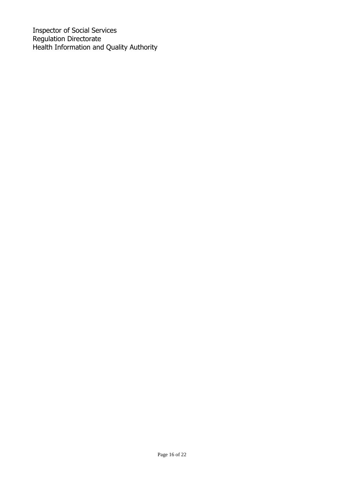Inspector of Social Services Regulation Directorate Health Information and Quality Authority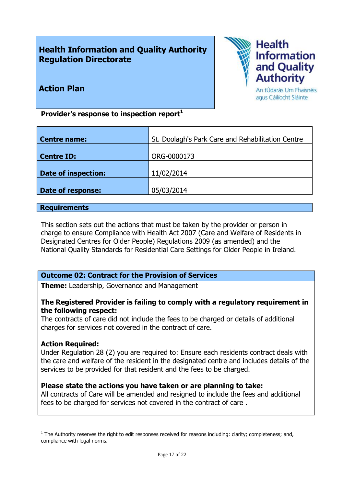# **Health Information and Quality Authority Regulation Directorate**



**Action Plan**

An tÚdarás Um Fhaisnéis agus Cáilíocht Sláinte

**Provider's response to inspection report<sup>1</sup>**

| <b>Centre name:</b> | St. Doolagh's Park Care and Rehabilitation Centre |
|---------------------|---------------------------------------------------|
| Centre ID:          | ORG-0000173                                       |
| Date of inspection: | 11/02/2014                                        |
| Date of response:   | 05/03/2014                                        |

#### **Requirements**

This section sets out the actions that must be taken by the provider or person in charge to ensure Compliance with Health Act 2007 (Care and Welfare of Residents in Designated Centres for Older People) Regulations 2009 (as amended) and the National Quality Standards for Residential Care Settings for Older People in Ireland.

# **Outcome 02: Contract for the Provision of Services**

**Theme:** Leadership, Governance and Management

# **The Registered Provider is failing to comply with a regulatory requirement in the following respect:**

The contracts of care did not include the fees to be charged or details of additional charges for services not covered in the contract of care.

## **Action Required:**

 $\overline{a}$ 

Under Regulation 28 (2) you are required to: Ensure each residents contract deals with the care and welfare of the resident in the designated centre and includes details of the services to be provided for that resident and the fees to be charged.

## **Please state the actions you have taken or are planning to take:**

All contracts of Care will be amended and resigned to include the fees and additional fees to be charged for services not covered in the contract of care .

 $<sup>1</sup>$  The Authority reserves the right to edit responses received for reasons including: clarity; completeness; and,</sup> compliance with legal norms.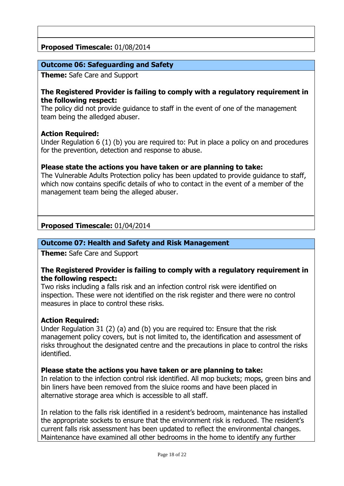# **Proposed Timescale:** 01/08/2014

## **Outcome 06: Safeguarding and Safety**

**Theme:** Safe Care and Support

## **The Registered Provider is failing to comply with a regulatory requirement in the following respect:**

The policy did not provide guidance to staff in the event of one of the management team being the alledged abuser.

## **Action Required:**

Under Regulation 6 (1) (b) you are required to: Put in place a policy on and procedures for the prevention, detection and response to abuse.

## **Please state the actions you have taken or are planning to take:**

The Vulnerable Adults Protection policy has been updated to provide guidance to staff, which now contains specific details of who to contact in the event of a member of the management team being the alleged abuser.

# **Proposed Timescale:** 01/04/2014

## **Outcome 07: Health and Safety and Risk Management**

**Theme:** Safe Care and Support

## **The Registered Provider is failing to comply with a regulatory requirement in the following respect:**

Two risks including a falls risk and an infection control risk were identified on inspection. These were not identified on the risk register and there were no control measures in place to control these risks.

## **Action Required:**

Under Regulation 31 (2) (a) and (b) you are required to: Ensure that the risk management policy covers, but is not limited to, the identification and assessment of risks throughout the designated centre and the precautions in place to control the risks identified.

## **Please state the actions you have taken or are planning to take:**

In relation to the infection control risk identified. All mop buckets; mops, green bins and bin liners have been removed from the sluice rooms and have been placed in alternative storage area which is accessible to all staff.

In relation to the falls risk identified in a resident's bedroom, maintenance has installed the appropriate sockets to ensure that the environment risk is reduced. The resident's current falls risk assessment has been updated to reflect the environmental changes. Maintenance have examined all other bedrooms in the home to identify any further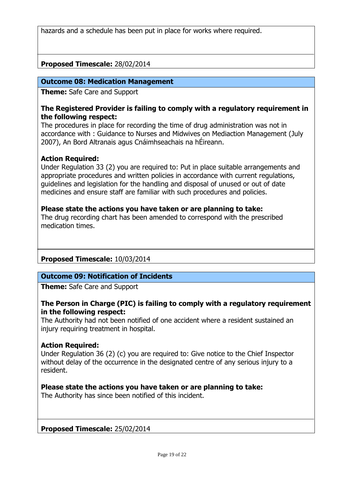hazards and a schedule has been put in place for works where required.

# **Proposed Timescale:** 28/02/2014

## **Outcome 08: Medication Management**

**Theme:** Safe Care and Support

#### **The Registered Provider is failing to comply with a regulatory requirement in the following respect:**

The procedures in place for recording the time of drug administration was not in accordance with : Guidance to Nurses and Midwives on Mediaction Management (July 2007), An Bord Altranais agus Cnáimhseachais na hÉireann.

## **Action Required:**

Under Regulation 33 (2) you are required to: Put in place suitable arrangements and appropriate procedures and written policies in accordance with current regulations, guidelines and legislation for the handling and disposal of unused or out of date medicines and ensure staff are familiar with such procedures and policies.

# **Please state the actions you have taken or are planning to take:**

The drug recording chart has been amended to correspond with the prescribed medication times.

## **Proposed Timescale:** 10/03/2014

## **Outcome 09: Notification of Incidents**

**Theme:** Safe Care and Support

## **The Person in Charge (PIC) is failing to comply with a regulatory requirement in the following respect:**

The Authority had not been notified of one accident where a resident sustained an injury requiring treatment in hospital.

## **Action Required:**

Under Regulation 36 (2) (c) you are required to: Give notice to the Chief Inspector without delay of the occurrence in the designated centre of any serious injury to a resident.

## **Please state the actions you have taken or are planning to take:**

The Authority has since been notified of this incident.

**Proposed Timescale:** 25/02/2014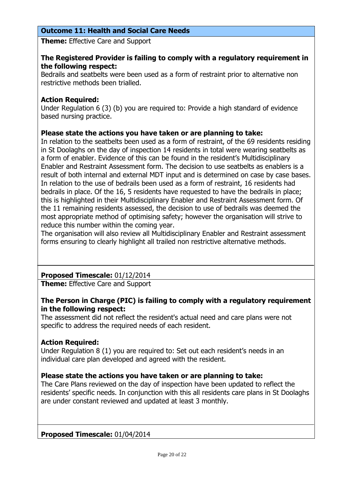# **Outcome 11: Health and Social Care Needs**

**Theme:** Effective Care and Support

## **The Registered Provider is failing to comply with a regulatory requirement in the following respect:**

Bedrails and seatbelts were been used as a form of restraint prior to alternative non restrictive methods been trialled.

## **Action Required:**

Under Regulation 6 (3) (b) you are required to: Provide a high standard of evidence based nursing practice.

## **Please state the actions you have taken or are planning to take:**

In relation to the seatbelts been used as a form of restraint, of the 69 residents residing in St Doolaghs on the day of inspection 14 residents in total were wearing seatbelts as a form of enabler. Evidence of this can be found in the resident's Multidisciplinary Enabler and Restraint Assessment form. The decision to use seatbelts as enablers is a result of both internal and external MDT input and is determined on case by case bases. In relation to the use of bedrails been used as a form of restraint, 16 residents had bedrails in place. Of the 16, 5 residents have requested to have the bedrails in place; this is highlighted in their Multidisciplinary Enabler and Restraint Assessment form. Of the 11 remaining residents assessed, the decision to use of bedrails was deemed the most appropriate method of optimising safety; however the organisation will strive to reduce this number within the coming year.

The organisation will also review all Multidisciplinary Enabler and Restraint assessment forms ensuring to clearly highlight all trailed non restrictive alternative methods.

# **Proposed Timescale:** 01/12/2014

**Theme:** Effective Care and Support

# **The Person in Charge (PIC) is failing to comply with a regulatory requirement in the following respect:**

The assessment did not reflect the resident's actual need and care plans were not specific to address the required needs of each resident.

## **Action Required:**

Under Regulation 8 (1) you are required to: Set out each resident's needs in an individual care plan developed and agreed with the resident.

## **Please state the actions you have taken or are planning to take:**

The Care Plans reviewed on the day of inspection have been updated to reflect the residents' specific needs. In conjunction with this all residents care plans in St Doolaghs are under constant reviewed and updated at least 3 monthly.

## **Proposed Timescale:** 01/04/2014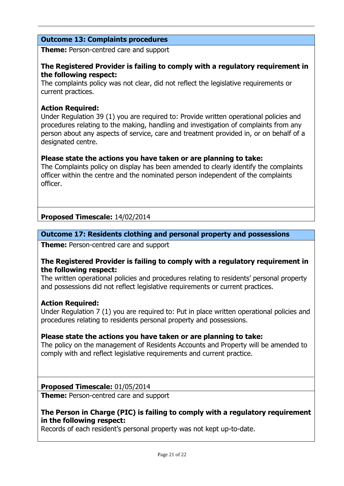# **Outcome 13: Complaints procedures**

**Theme:** Person-centred care and support

## **The Registered Provider is failing to comply with a regulatory requirement in the following respect:**

The complaints policy was not clear, did not reflect the legislative requirements or current practices.

## **Action Required:**

Under Regulation 39 (1) you are required to: Provide written operational policies and procedures relating to the making, handling and investigation of complaints from any person about any aspects of service, care and treatment provided in, or on behalf of a designated centre.

## **Please state the actions you have taken or are planning to take:**

The Complaints policy on display has been amended to clearly identify the complaints officer within the centre and the nominated person independent of the complaints officer.

# **Proposed Timescale:** 14/02/2014

# **Outcome 17: Residents clothing and personal property and possessions**

**Theme:** Person-centred care and support

#### **The Registered Provider is failing to comply with a regulatory requirement in the following respect:**

The written operational policies and procedures relating to residents' personal property and possessions did not reflect legislative requirements or current practices.

## **Action Required:**

Under Regulation 7 (1) you are required to: Put in place written operational policies and procedures relating to residents personal property and possessions.

## **Please state the actions you have taken or are planning to take:**

The policy on the management of Residents Accounts and Property will be amended to comply with and reflect legislative requirements and current practice.

## **Proposed Timescale:** 01/05/2014

**Theme:** Person-centred care and support

# **The Person in Charge (PIC) is failing to comply with a regulatory requirement in the following respect:**

Records of each resident's personal property was not kept up-to-date.